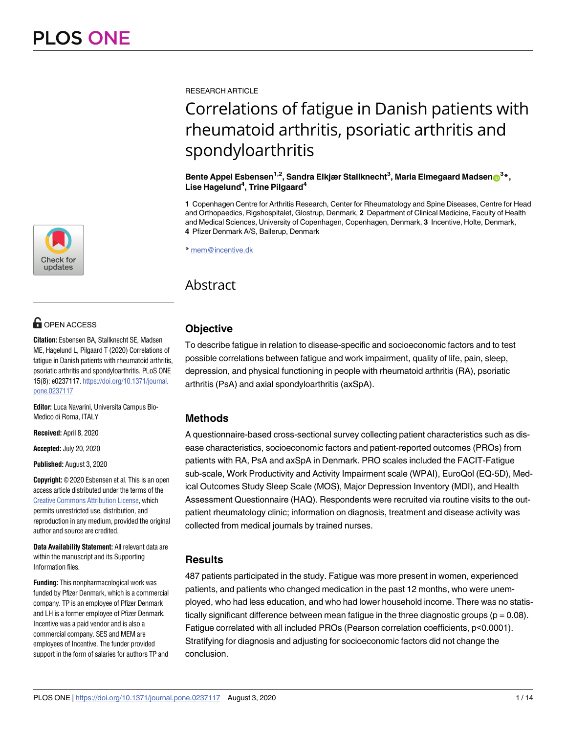[a1111111111](http://crossmark.crossref.org/dialog/?doi=10.1371/journal.pone.0237117&domain=pdf&date_stamp=2020-08-03) [a1111111111](http://crossmark.crossref.org/dialog/?doi=10.1371/journal.pone.0237117&domain=pdf&date_stamp=2020-08-03) [a1111111111](http://crossmark.crossref.org/dialog/?doi=10.1371/journal.pone.0237117&domain=pdf&date_stamp=2020-08-03) Check for updates

# **OPEN ACCESS**

**Citation:** Esbensen BA, Stallknecht SE, Madsen ME, Hagelund L, Pilgaard T (2020) Correlations of fatigue in Danish patients with rheumatoid arthritis, psoriatic arthritis and spondyloarthritis. PLoS ONE 15(8): e0237117. [https://doi.org/10.1371/journal.](https://doi.org/10.1371/journal.pone.0237117) [pone.0237117](https://doi.org/10.1371/journal.pone.0237117)

**Editor:** Luca Navarini, Universita Campus Bio-Medico di Roma, ITALY

**Received:** April 8, 2020

**Accepted:** July 20, 2020

**Published:** August 3, 2020

**Copyright:** © 2020 Esbensen et al. This is an open access article distributed under the terms of the Creative Commons [Attribution](http://creativecommons.org/licenses/by/4.0/) License, which permits unrestricted use, distribution, and reproduction in any medium, provided the original author and source are credited.

**Data Availability Statement:** All relevant data are within the manuscript and its Supporting Information files.

**Funding:** This nonpharmacological work was funded by Pfizer Denmark, which is a commercial company. TP is an employee of Pfizer Denmark and LH is a former employee of Pfizer Denmark. Incentive was a paid vendor and is also a commercial company. SES and MEM are employees of Incentive. The funder provided support in the form of salaries for authors TP and RESEARCH ARTICLE

# Correlations of fatigue in Danish patients with rheumatoid arthritis, psoriatic arthritis and spondyloarthritis

#### $B$ ente Appel Esbensen<sup>1,2</sup>, Sandra Elkjær Stallknecht<sup>3</sup>, Maria Elmegaard Madsen $\bullet^{3*},$ **Lise Hagelund4 , Trine Pilgaard4**

**1** Copenhagen Centre for Arthritis Research, Center for Rheumatology and Spine Diseases, Centre for Head and Orthopaedics, Rigshospitalet, Glostrup, Denmark, **2** Department of Clinical Medicine, Faculty of Health and Medical Sciences, University of Copenhagen, Copenhagen, Denmark, **3** Incentive, Holte, Denmark, **4** Pfizer Denmark A/S, Ballerup, Denmark

\* mem@incentive.dk

# Abstract

# **Objective**

To describe fatigue in relation to disease-specific and socioeconomic factors and to test possible correlations between fatigue and work impairment, quality of life, pain, sleep, depression, and physical functioning in people with rheumatoid arthritis (RA), psoriatic arthritis (PsA) and axial spondyloarthritis (axSpA).

# **Methods**

A questionnaire-based cross-sectional survey collecting patient characteristics such as disease characteristics, socioeconomic factors and patient-reported outcomes (PROs) from patients with RA, PsA and axSpA in Denmark. PRO scales included the FACIT-Fatigue sub-scale, Work Productivity and Activity Impairment scale (WPAI), EuroQol (EQ-5D), Medical Outcomes Study Sleep Scale (MOS), Major Depression Inventory (MDI), and Health Assessment Questionnaire (HAQ). Respondents were recruited via routine visits to the outpatient rheumatology clinic; information on diagnosis, treatment and disease activity was collected from medical journals by trained nurses.

# **Results**

487 patients participated in the study. Fatigue was more present in women, experienced patients, and patients who changed medication in the past 12 months, who were unemployed, who had less education, and who had lower household income. There was no statistically significant difference between mean fatigue in the three diagnostic groups ( $p = 0.08$ ). Fatigue correlated with all included PROs (Pearson correlation coefficients, p<0.0001). Stratifying for diagnosis and adjusting for socioeconomic factors did not change the conclusion.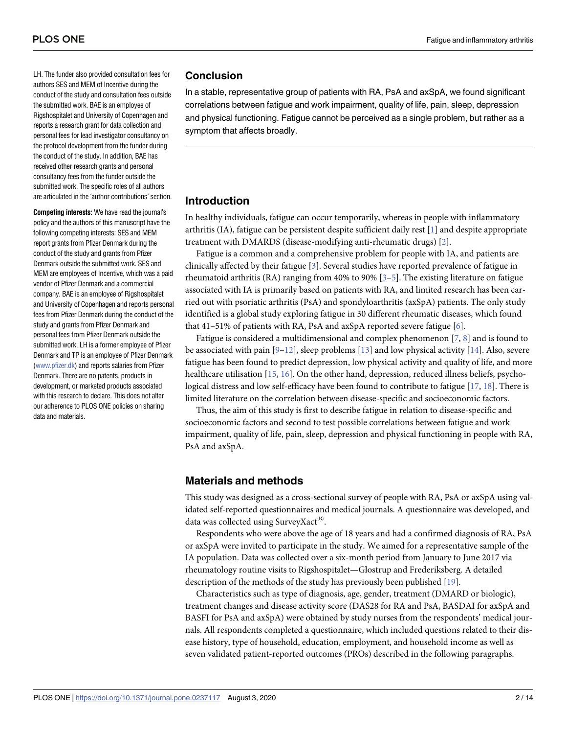<span id="page-1-0"></span>LH. The funder also provided consultation fees for authors SES and MEM of Incentive during the conduct of the study and consultation fees outside the submitted work. BAE is an employee of Rigshospitalet and University of Copenhagen and reports a research grant for data collection and personal fees for lead investigator consultancy on the protocol development from the funder during the conduct of the study. In addition, BAE has received other research grants and personal consultancy fees from the funder outside the submitted work. The specific roles of all authors are articulated in the 'author contributions' section.

**Competing interests:** We have read the journal's policy and the authors of this manuscript have the following competing interests: SES and MEM report grants from Pfizer Denmark during the conduct of the study and grants from Pfizer Denmark outside the submitted work. SES and MEM are employees of Incentive, which was a paid vendor of Pfizer Denmark and a commercial company. BAE is an employee of Rigshospitalet and University of Copenhagen and reports personal fees from Pfizer Denmark during the conduct of the study and grants from Pfizer Denmark and personal fees from Pfizer Denmark outside the submitted work. LH is a former employee of Pfizer Denmark and TP is an employee of Pfizer Denmark [\(www.pfizer.dk\)](http://www.pfizer.dk) and reports salaries from Pfizer Denmark. There are no patents, products in development, or marketed products associated with this research to declare. This does not alter our adherence to PLOS ONE policies on sharing data and materials.

#### **Conclusion**

In a stable, representative group of patients with RA, PsA and axSpA, we found significant correlations between fatigue and work impairment, quality of life, pain, sleep, depression and physical functioning. Fatigue cannot be perceived as a single problem, but rather as a symptom that affects broadly.

### **Introduction**

In healthy individuals, fatigue can occur temporarily, whereas in people with inflammatory arthritis (IA), fatigue can be persistent despite sufficient daily rest [[1](#page-9-0)] and despite appropriate treatment with DMARDS (disease-modifying anti-rheumatic drugs) [\[2\]](#page-9-0).

Fatigue is a common and a comprehensive problem for people with IA, and patients are clinically affected by their fatigue [[3](#page-9-0)]. Several studies have reported prevalence of fatigue in rheumatoid arthritis (RA) ranging from 40% to 90% [[3–](#page-9-0)[5\]](#page-10-0). The existing literature on fatigue associated with IA is primarily based on patients with RA, and limited research has been carried out with psoriatic arthritis (PsA) and spondyloarthritis (axSpA) patients. The only study identified is a global study exploring fatigue in 30 different rheumatic diseases, which found that 41–51% of patients with RA, PsA and axSpA reported severe fatigue [[6](#page-10-0)].

Fatigue is considered a multidimensional and complex phenomenon [[7,](#page-10-0) [8\]](#page-10-0) and is found to be associated with pain  $[9-12]$ , sleep problems [[13](#page-10-0)] and low physical activity [[14](#page-10-0)]. Also, severe fatigue has been found to predict depression, low physical activity and quality of life, and more healthcare utilisation [\[15,](#page-10-0) [16\]](#page-10-0). On the other hand, depression, reduced illness beliefs, psychological distress and low self-efficacy have been found to contribute to fatigue [[17](#page-10-0), [18](#page-10-0)]. There is limited literature on the correlation between disease-specific and socioeconomic factors.

Thus, the aim of this study is first to describe fatigue in relation to disease-specific and socioeconomic factors and second to test possible correlations between fatigue and work impairment, quality of life, pain, sleep, depression and physical functioning in people with RA, PsA and axSpA.

# **Materials and methods**

This study was designed as a cross-sectional survey of people with RA, PsA or axSpA using validated self-reported questionnaires and medical journals. A questionnaire was developed, and data was collected using SurveyXact<sup> $\mathfrak{B}$ </sup>.

Respondents who were above the age of 18 years and had a confirmed diagnosis of RA, PsA or axSpA were invited to participate in the study. We aimed for a representative sample of the IA population. Data was collected over a six-month period from January to June 2017 via rheumatology routine visits to Rigshospitalet—Glostrup and Frederiksberg. A detailed description of the methods of the study has previously been published [[19](#page-10-0)].

Characteristics such as type of diagnosis, age, gender, treatment (DMARD or biologic), treatment changes and disease activity score (DAS28 for RA and PsA, BASDAI for axSpA and BASFI for PsA and axSpA) were obtained by study nurses from the respondents' medical journals. All respondents completed a questionnaire, which included questions related to their disease history, type of household, education, employment, and household income as well as seven validated patient-reported outcomes (PROs) described in the following paragraphs.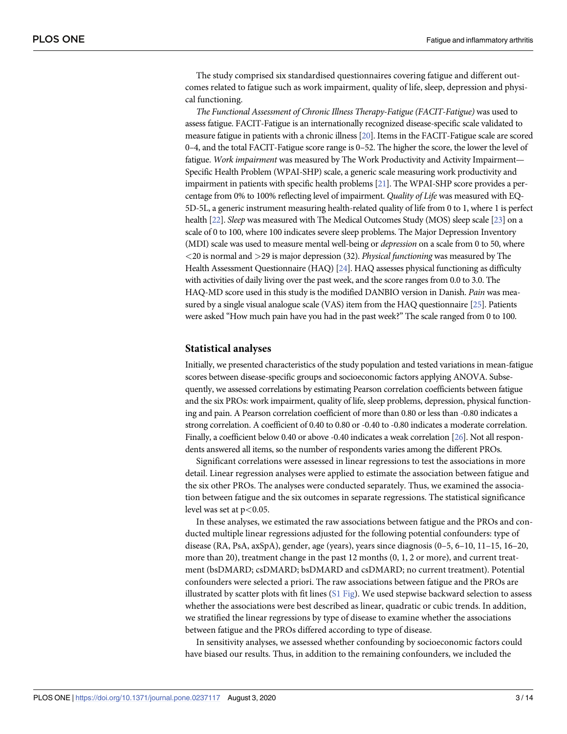<span id="page-2-0"></span>The study comprised six standardised questionnaires covering fatigue and different outcomes related to fatigue such as work impairment, quality of life, sleep, depression and physical functioning.

*The Functional Assessment of Chronic Illness Therapy-Fatigue (FACIT-Fatigue)* was used to assess fatigue. FACIT-Fatigue is an internationally recognized disease-specific scale validated to measure fatigue in patients with a chronic illness [\[20](#page-11-0)]. Items in the FACIT-Fatigue scale are scored 0–4, and the total FACIT-Fatigue score range is 0–52. The higher the score, the lower the level of fatigue. *Work impairment* was measured by The Work Productivity and Activity Impairment— Specific Health Problem (WPAI-SHP) scale, a generic scale measuring work productivity and impairment in patients with specific health problems [\[21](#page-11-0)]. The WPAI-SHP score provides a percentage from 0% to 100% reflecting level of impairment. *Quality of Life* was measured with EQ-5D-5L, a generic instrument measuring health-related quality of life from 0 to 1, where 1 is perfect health [\[22](#page-11-0)]. *Sleep* was measured with The Medical Outcomes Study (MOS) sleep scale [\[23\]](#page-11-0) on a scale of 0 to 100, where 100 indicates severe sleep problems. The Major Depression Inventory (MDI) scale was used to measure mental well-being or *depression* on a scale from 0 to 50, where *<*20 is normal and *>*29 is major depression (32). *Physical functioning* was measured by The Health Assessment Questionnaire (HAQ) [\[24](#page-11-0)]. HAQ assesses physical functioning as difficulty with activities of daily living over the past week, and the score ranges from 0.0 to 3.0. The HAQ-MD score used in this study is the modified DANBIO version in Danish. *Pain* was measured by a single visual analogue scale (VAS) item from the HAQ questionnaire [\[25](#page-11-0)]. Patients were asked "How much pain have you had in the past week?" The scale ranged from 0 to 100.

#### **Statistical analyses**

Initially, we presented characteristics of the study population and tested variations in mean-fatigue scores between disease-specific groups and socioeconomic factors applying ANOVA. Subsequently, we assessed correlations by estimating Pearson correlation coefficients between fatigue and the six PROs: work impairment, quality of life, sleep problems, depression, physical functioning and pain. A Pearson correlation coefficient of more than 0.80 or less than -0.80 indicates a strong correlation. A coefficient of 0.40 to 0.80 or -0.40 to -0.80 indicates a moderate correlation. Finally, a coefficient below 0.40 or above -0.40 indicates a weak correlation [\[26](#page-11-0)]. Not all respondents answered all items, so the number of respondents varies among the different PROs.

Significant correlations were assessed in linear regressions to test the associations in more detail. Linear regression analyses were applied to estimate the association between fatigue and the six other PROs. The analyses were conducted separately. Thus, we examined the association between fatigue and the six outcomes in separate regressions. The statistical significance level was set at p*<*0.05.

In these analyses, we estimated the raw associations between fatigue and the PROs and conducted multiple linear regressions adjusted for the following potential confounders: type of disease (RA, PsA, axSpA), gender, age (years), years since diagnosis (0–5, 6–10, 11–15, 16–20, more than 20), treatment change in the past 12 months (0, 1, 2 or more), and current treatment (bsDMARD; csDMARD; bsDMARD and csDMARD; no current treatment). Potential confounders were selected a priori. The raw associations between fatigue and the PROs are illustrated by scatter plots with fit lines (S1 [Fig\)](#page-8-0). We used stepwise backward selection to assess whether the associations were best described as linear, quadratic or cubic trends. In addition, we stratified the linear regressions by type of disease to examine whether the associations between fatigue and the PROs differed according to type of disease.

In sensitivity analyses, we assessed whether confounding by socioeconomic factors could have biased our results. Thus, in addition to the remaining confounders, we included the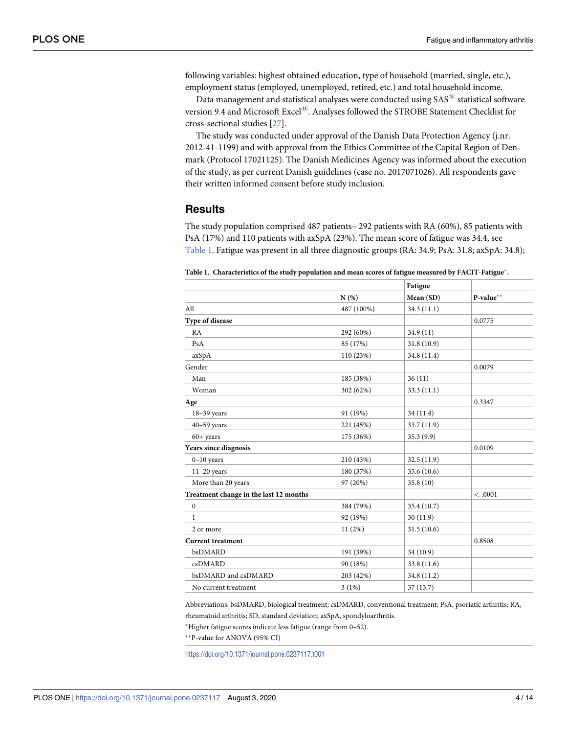<span id="page-3-0"></span>following variables: highest obtained education, type of household (married, single, etc.), employment status (employed, unemployed, retired, etc.) and total household income.

Data management and statistical analyses were conducted using  $SAS^{\textcircled{B}}$  statistical software version 9.4 and Microsoft Excel<sup>®</sup>. Analyses followed the STROBE Statement Checklist for cross-sectional studies [\[27\]](#page-11-0).

The study was conducted under approval of the Danish Data Protection Agency (j.nr. 2012-41-1199) and with approval from the Ethics Committee of the Capital Region of Denmark (Protocol 17021125). The Danish Medicines Agency was informed about the execution of the study, as per current Danish guidelines (case no. 2017071026). All respondents gave their written informed consent before study inclusion.

# **Results**

The study population comprised 487 patients– 292 patients with RA (60%), 85 patients with PsA (17%) and 110 patients with axSpA (23%). The mean score of fatigue was 34.4, see Table 1. Fatigue was present in all three diagnostic groups (RA: 34.9; PsA: 31.8; axSpA: 34.8);

|                                        |            | Fatigue     |           |
|----------------------------------------|------------|-------------|-----------|
|                                        | N(%)       | Mean (SD)   | P-value** |
| All                                    | 487 (100%) | 34.3 (11.1) |           |
| Type of disease                        |            |             | 0.0775    |
| RA                                     | 292 (60%)  | 34.9 (11)   |           |
| PsA                                    | 85 (17%)   | 31.8 (10.9) |           |
| axSpA                                  | 110 (23%)  | 34.8 (11.4) |           |
| Gender                                 |            |             | 0.0079    |
| Man                                    | 185 (38%)  | 36(11)      |           |
| Woman                                  | 302 (62%)  | 33.3 (11.1) |           |
| Age                                    |            |             | 0.3347    |
| $18-39$ years                          | 91 (19%)   | 34 (11.4)   |           |
| $40-59$ years                          | 221 (45%)  | 33.7 (11.9) |           |
| $60+$ years                            | 175 (36%)  | 35.3(9.9)   |           |
| Years since diagnosis                  |            |             | 0.0109    |
| $0-10$ years                           | 210 (43%)  | 32.5 (11.9) |           |
| $11-20$ years                          | 180 (37%)  | 35.6 (10.6) |           |
| More than 20 years                     | 97 (20%)   | 35.8 (10)   |           |
| Treatment change in the last 12 months |            |             | < .0001   |
| $\mathbf{0}$                           | 384 (79%)  | 35.4 (10.7) |           |
| 1                                      | 92 (19%)   | 30 (11.9)   |           |
| 2 or more                              | 11(2%)     | 31.5(10.6)  |           |
| <b>Current treatment</b>               |            |             | 0.8508    |
| bsDMARD                                | 191 (39%)  | 34 (10.9)   |           |
| csDMARD                                | 90 (18%)   | 33.8 (11.6) |           |
| bsDMARD and csDMARD                    | 203 (42%)  | 34.8 (11.2) |           |
| No current treatment                   | 3(1%)      | 37 (13.7)   |           |

**Table 1. Characteristics of the study population and mean scores of fatigue measured by FACIT-Fatigue**�**.**

Abbreviations: bsDMARD, biological treatment; csDMARD, conventional treatment; PsA, psoriatic arthritis; RA, rheumatoid arthritis; SD, standard deviation; axSpA, spondyloarthritis.

�Higher fatigue scores indicate less fatigue (range from 0–52).

��P-value for ANOVA (95% CI)

<https://doi.org/10.1371/journal.pone.0237117.t001>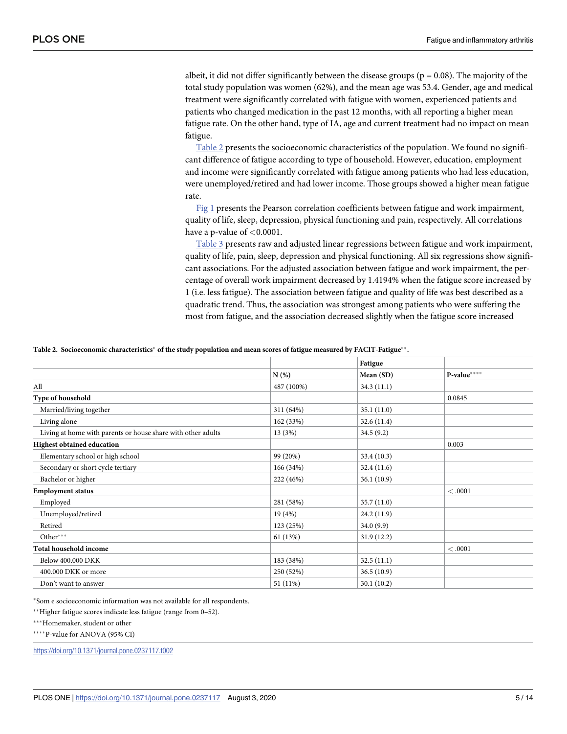<span id="page-4-0"></span>albeit, it did not differ significantly between the disease groups ( $p = 0.08$ ). The majority of the total study population was women (62%), and the mean age was 53.4. Gender, age and medical treatment were significantly correlated with fatigue with women, experienced patients and patients who changed medication in the past 12 months, with all reporting a higher mean fatigue rate. On the other hand, type of IA, age and current treatment had no impact on mean fatigue.

Table 2 presents the socioeconomic characteristics of the population. We found no significant difference of fatigue according to type of household. However, education, employment and income were significantly correlated with fatigue among patients who had less education, were unemployed/retired and had lower income. Those groups showed a higher mean fatigue rate.

[Fig](#page-5-0) 1 presents the Pearson correlation coefficients between fatigue and work impairment, quality of life, sleep, depression, physical functioning and pain, respectively. All correlations have a p-value of *<*0.0001.

[Table](#page-6-0) 3 presents raw and adjusted linear regressions between fatigue and work impairment, quality of life, pain, sleep, depression and physical functioning. All six regressions show significant associations. For the adjusted association between fatigue and work impairment, the percentage of overall work impairment decreased by 1.4194% when the fatigue score increased by 1 (i.e. less fatigue). The association between fatigue and quality of life was best described as a quadratic trend. Thus, the association was strongest among patients who were suffering the most from fatigue, and the association decreased slightly when the fatigue score increased

|                                                              | N(%)       | Fatigue     |              |  |
|--------------------------------------------------------------|------------|-------------|--------------|--|
|                                                              |            | Mean (SD)   | $P-value***$ |  |
| All                                                          | 487 (100%) | 34.3(11.1)  |              |  |
| Type of household                                            |            |             | 0.0845       |  |
| Married/living together                                      | 311 (64%)  | 35.1(11.0)  |              |  |
| Living alone                                                 | 162 (33%)  | 32.6(11.4)  |              |  |
| Living at home with parents or house share with other adults | 13(3%)     | 34.5(9.2)   |              |  |
| <b>Highest obtained education</b>                            |            |             | 0.003        |  |
| Elementary school or high school                             | 99 (20%)   | 33.4 (10.3) |              |  |
| Secondary or short cycle tertiary                            | 166 (34%)  | 32.4(11.6)  |              |  |
| Bachelor or higher                                           | 222 (46%)  | 36.1(10.9)  |              |  |
| <b>Employment status</b>                                     |            |             | <.0001       |  |
| Employed                                                     | 281 (58%)  | 35.7(11.0)  |              |  |
| Unemployed/retired                                           | 19 (4%)    | 24.2 (11.9) |              |  |
| Retired                                                      | 123 (25%)  | 34.0(9.9)   |              |  |
| Other***                                                     | 61 (13%)   | 31.9(12.2)  |              |  |
| Total household income                                       |            |             | < .0001      |  |
| Below 400.000 DKK                                            | 183 (38%)  | 32.5(11.1)  |              |  |
| 400.000 DKK or more                                          | 250 (52%)  | 36.5(10.9)  |              |  |
| Don't want to answer                                         | 51 (11%)   | 30.1(10.2)  |              |  |

Table 2. Socioeconomic characteristics<sup>\*</sup> of the study population and mean scores of fatigue measured by FACIT-Fatigue<sup>\*\*</sup>.

�Som e socioeconomic information was not available for all respondents.

��Higher fatigue scores indicate less fatigue (range from 0–52).

\*\*\*Homemaker, student or other

����P-value for ANOVA (95% CI)

<https://doi.org/10.1371/journal.pone.0237117.t002>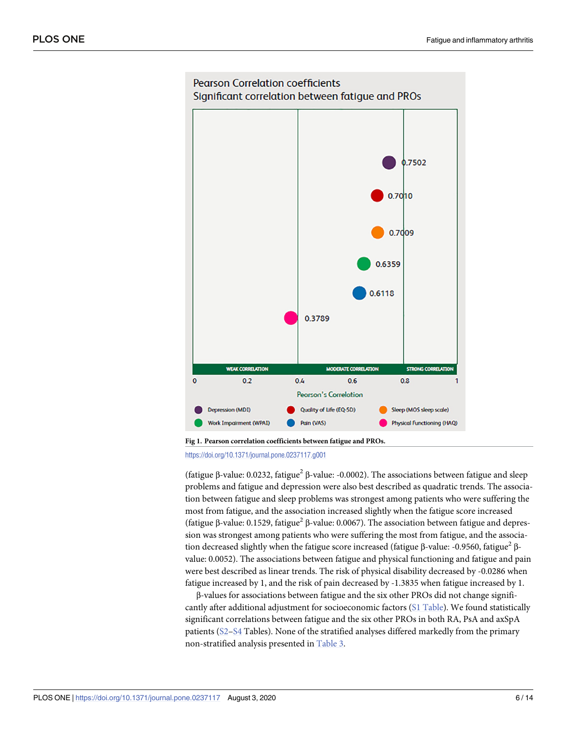<span id="page-5-0"></span>

<https://doi.org/10.1371/journal.pone.0237117.g001>

(fatigue β-value: 0.0232, fatigue<sup>2</sup> β-value: -0.0002). The associations between fatigue and sleep problems and fatigue and depression were also best described as quadratic trends. The association between fatigue and sleep problems was strongest among patients who were suffering the most from fatigue, and the association increased slightly when the fatigue score increased (fatigue β-value: 0.1529, fatigue<sup>2</sup> β-value: 0.0067). The association between fatigue and depression was strongest among patients who were suffering the most from fatigue, and the association decreased slightly when the fatigue score increased (fatigue β-value: -0.9560, fatigue<sup>2</sup> βvalue: 0.0052). The associations between fatigue and physical functioning and fatigue and pain were best described as linear trends. The risk of physical disability decreased by -0.0286 when fatigue increased by 1, and the risk of pain decreased by -1.3835 when fatigue increased by 1.

β-values for associations between fatigue and the six other PROs did not change significantly after additional adjustment for socioeconomic factors (S1 [Table\)](#page-8-0). We found statistically significant correlations between fatigue and the six other PROs in both RA, PsA and axSpA patients [\(S2–](#page-8-0)[S4](#page-9-0) Tables). None of the stratified analyses differed markedly from the primary non-stratified analysis presented in [Table](#page-6-0) 3.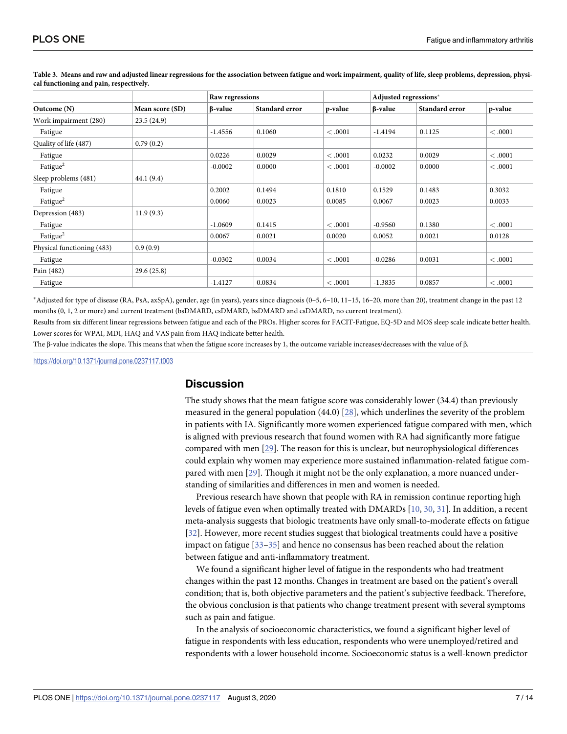| Outcome (N)                | Mean score (SD) |                | Raw regressions |         |                | Adjusted regressions* |         |  |
|----------------------------|-----------------|----------------|-----------------|---------|----------------|-----------------------|---------|--|
|                            |                 | <b>B-value</b> | Standard error  | p-value | <b>B-value</b> | Standard error        | p-value |  |
| Work impairment (280)      | 23.5(24.9)      |                |                 |         |                |                       |         |  |
| Fatigue                    |                 | $-1.4556$      | 0.1060          | < .0001 | $-1.4194$      | 0.1125                | < 0.001 |  |
| Quality of life (487)      | 0.79(0.2)       |                |                 |         |                |                       |         |  |
| Fatigue                    |                 | 0.0226         | 0.0029          | < .0001 | 0.0232         | 0.0029                | < 0.001 |  |
| Fatigue <sup>2</sup>       |                 | $-0.0002$      | 0.0000          | <.0001  | $-0.0002$      | 0.0000                | < 0.001 |  |
| Sleep problems (481)       | 44.1 (9.4)      |                |                 |         |                |                       |         |  |
| Fatigue                    |                 | 0.2002         | 0.1494          | 0.1810  | 0.1529         | 0.1483                | 0.3032  |  |
| Fatigue <sup>2</sup>       |                 | 0.0060         | 0.0023          | 0.0085  | 0.0067         | 0.0023                | 0.0033  |  |
| Depression (483)           | 11.9(9.3)       |                |                 |         |                |                       |         |  |
| Fatigue                    |                 | $-1.0609$      | 0.1415          | < .0001 | $-0.9560$      | 0.1380                | < 0.001 |  |
| Fatigue <sup>2</sup>       |                 | 0.0067         | 0.0021          | 0.0020  | 0.0052         | 0.0021                | 0.0128  |  |
| Physical functioning (483) | 0.9(0.9)        |                |                 |         |                |                       |         |  |
| Fatigue                    |                 | $-0.0302$      | 0.0034          | <.0001  | $-0.0286$      | 0.0031                | <.0001  |  |
| Pain (482)                 | 29.6(25.8)      |                |                 |         |                |                       |         |  |
| Fatigue                    |                 | $-1.4127$      | 0.0834          | < .0001 | $-1.3835$      | 0.0857                | < .0001 |  |

<span id="page-6-0"></span>[Table](#page-4-0) 3. Means and raw and adjusted linear regressions for the association between fatigue and work impairment, quality of life, sleep problems, depression, physi**cal functioning and pain, respectively.**

�Adjusted for type of disease (RA, PsA, axSpA), gender, age (in years), years since diagnosis (0–5, 6–10, 11–15, 16–20, more than 20), treatment change in the past 12 months (0, 1, 2 or more) and current treatment (bsDMARD, csDMARD, bsDMARD and csDMARD, no current treatment).

Results from six different linear regressions between fatigue and each of the PROs. Higher scores for FACIT-Fatigue, EQ-5D and MOS sleep scale indicate better health. Lower scores for WPAI, MDI, HAQ and VAS pain from HAQ indicate better health.

The β-value indicates the slope. This means that when the fatigue score increases by 1, the outcome variable increases/decreases with the value of β.

<https://doi.org/10.1371/journal.pone.0237117.t003>

## **Discussion**

The study shows that the mean fatigue score was considerably lower (34.4) than previously measured in the general population (44.0) [\[28\]](#page-11-0), which underlines the severity of the problem in patients with IA. Significantly more women experienced fatigue compared with men, which is aligned with previous research that found women with RA had significantly more fatigue compared with men [[29](#page-11-0)]. The reason for this is unclear, but neurophysiological differences could explain why women may experience more sustained inflammation-related fatigue compared with men [\[29\]](#page-11-0). Though it might not be the only explanation, a more nuanced understanding of similarities and differences in men and women is needed.

Previous research have shown that people with RA in remission continue reporting high levels of fatigue even when optimally treated with DMARDs [[10](#page-10-0), [30](#page-11-0), [31](#page-11-0)]. In addition, a recent meta-analysis suggests that biologic treatments have only small-to-moderate effects on fatigue [\[32\]](#page-11-0). However, more recent studies suggest that biological treatments could have a positive impact on fatigue [\[33–](#page-11-0)[35](#page-12-0)] and hence no consensus has been reached about the relation between fatigue and anti-inflammatory treatment.

We found a significant higher level of fatigue in the respondents who had treatment changes within the past 12 months. Changes in treatment are based on the patient's overall condition; that is, both objective parameters and the patient's subjective feedback. Therefore, the obvious conclusion is that patients who change treatment present with several symptoms such as pain and fatigue.

In the analysis of socioeconomic characteristics, we found a significant higher level of fatigue in respondents with less education, respondents who were unemployed/retired and respondents with a lower household income. Socioeconomic status is a well-known predictor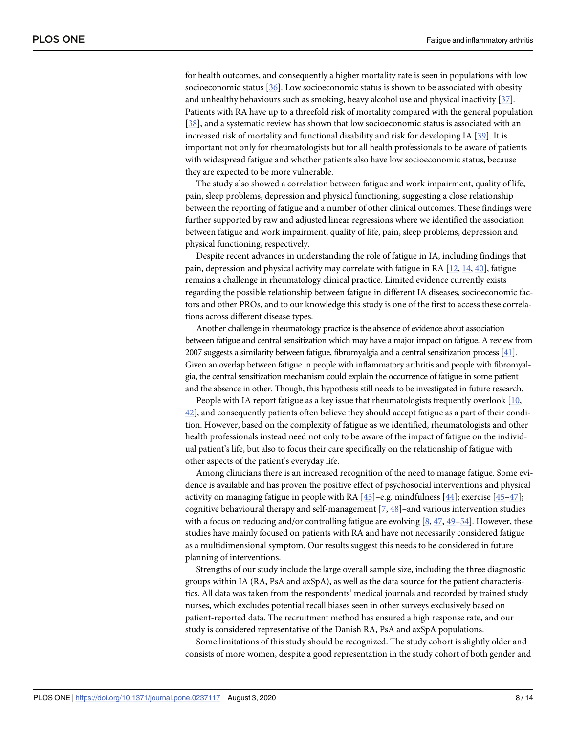<span id="page-7-0"></span>for health outcomes, and consequently a higher mortality rate is seen in populations with low socioeconomic status [\[36\]](#page-12-0). Low socioeconomic status is shown to be associated with obesity and unhealthy behaviours such as smoking, heavy alcohol use and physical inactivity [\[37\]](#page-12-0). Patients with RA have up to a threefold risk of mortality compared with the general population [\[38\]](#page-12-0), and a systematic review has shown that low socioeconomic status is associated with an increased risk of mortality and functional disability and risk for developing IA [[39](#page-12-0)]. It is important not only for rheumatologists but for all health professionals to be aware of patients with widespread fatigue and whether patients also have low socioeconomic status, because they are expected to be more vulnerable.

The study also showed a correlation between fatigue and work impairment, quality of life, pain, sleep problems, depression and physical functioning, suggesting a close relationship between the reporting of fatigue and a number of other clinical outcomes. These findings were further supported by raw and adjusted linear regressions where we identified the association between fatigue and work impairment, quality of life, pain, sleep problems, depression and physical functioning, respectively.

Despite recent advances in understanding the role of fatigue in IA, including findings that pain, depression and physical activity may correlate with fatigue in RA [\[12,](#page-10-0) [14,](#page-10-0) [40\]](#page-12-0), fatigue remains a challenge in rheumatology clinical practice. Limited evidence currently exists regarding the possible relationship between fatigue in different IA diseases, socioeconomic factors and other PROs, and to our knowledge this study is one of the first to access these correlations across different disease types.

Another challenge in rheumatology practice is the absence of evidence about association between fatigue and central sensitization which may have a major impact on fatigue. A review from 2007 suggests a similarity between fatigue, fibromyalgia and a central sensitization process [\[41](#page-12-0)]. Given an overlap between fatigue in people with inflammatory arthritis and people with fibromyalgia, the central sensitization mechanism could explain the occurrence of fatigue in some patient and the absence in other. Though, this hypothesis still needs to be investigated in future research.

People with IA report fatigue as a key issue that rheumatologists frequently overlook [[10](#page-10-0), [42\]](#page-12-0), and consequently patients often believe they should accept fatigue as a part of their condition. However, based on the complexity of fatigue as we identified, rheumatologists and other health professionals instead need not only to be aware of the impact of fatigue on the individual patient's life, but also to focus their care specifically on the relationship of fatigue with other aspects of the patient's everyday life.

Among clinicians there is an increased recognition of the need to manage fatigue. Some evidence is available and has proven the positive effect of psychosocial interventions and physical activity on managing fatigue in people with RA  $[43]$  $[43]$  $[43]$ –e.g. mindfulness  $[44]$ ; exercise  $[45-47]$ ; cognitive behavioural therapy and self-management  $[7, 48]$  $[7, 48]$  $[7, 48]$ -and various intervention studies with a focus on reducing and/or controlling fatigue are evolving  $[8, 47, 49-54]$  $[8, 47, 49-54]$  $[8, 47, 49-54]$  $[8, 47, 49-54]$  $[8, 47, 49-54]$ . However, these studies have mainly focused on patients with RA and have not necessarily considered fatigue as a multidimensional symptom. Our results suggest this needs to be considered in future planning of interventions.

Strengths of our study include the large overall sample size, including the three diagnostic groups within IA (RA, PsA and axSpA), as well as the data source for the patient characteristics. All data was taken from the respondents' medical journals and recorded by trained study nurses, which excludes potential recall biases seen in other surveys exclusively based on patient-reported data. The recruitment method has ensured a high response rate, and our study is considered representative of the Danish RA, PsA and axSpA populations.

Some limitations of this study should be recognized. The study cohort is slightly older and consists of more women, despite a good representation in the study cohort of both gender and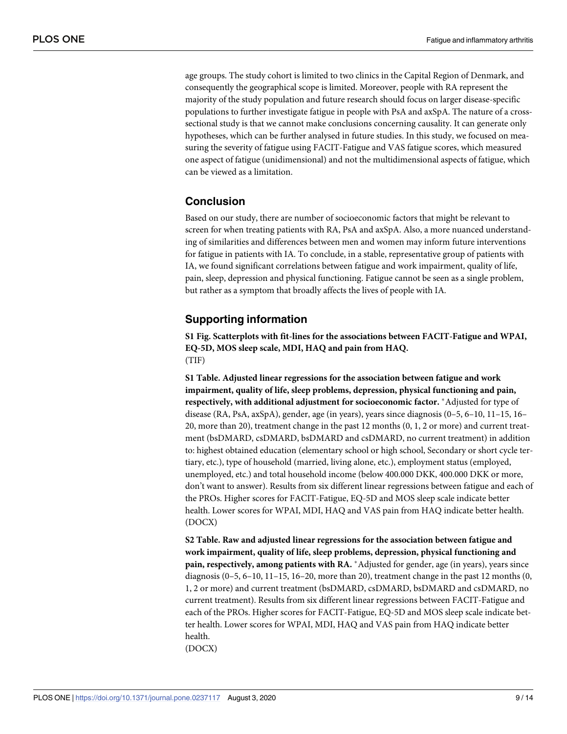<span id="page-8-0"></span>age groups. The study cohort is limited to two clinics in the Capital Region of Denmark, and consequently the geographical scope is limited. Moreover, people with RA represent the majority of the study population and future research should focus on larger disease-specific populations to further investigate fatigue in people with PsA and axSpA. The nature of a crosssectional study is that we cannot make conclusions concerning causality. It can generate only hypotheses, which can be further analysed in future studies. In this study, we focused on measuring the severity of fatigue using FACIT-Fatigue and VAS fatigue scores, which measured one aspect of fatigue (unidimensional) and not the multidimensional aspects of fatigue, which can be viewed as a limitation.

## **Conclusion**

Based on our study, there are number of socioeconomic factors that might be relevant to screen for when treating patients with RA, PsA and axSpA. Also, a more nuanced understanding of similarities and differences between men and women may inform future interventions for fatigue in patients with IA. To conclude, in a stable, representative group of patients with IA, we found significant correlations between fatigue and work impairment, quality of life, pain, sleep, depression and physical functioning. Fatigue cannot be seen as a single problem, but rather as a symptom that broadly affects the lives of people with IA.

# **Supporting information**

**S1 [Fig](http://www.plosone.org/article/fetchSingleRepresentation.action?uri=info:doi/10.1371/journal.pone.0237117.s001). Scatterplots with fit-lines for the associations between FACIT-Fatigue and WPAI, EQ-5D, MOS sleep scale, MDI, HAQ and pain from HAQ.** (TIF)

**S1 [Table.](http://www.plosone.org/article/fetchSingleRepresentation.action?uri=info:doi/10.1371/journal.pone.0237117.s002) Adjusted linear regressions for the association between fatigue and work impairment, quality of life, sleep problems, depression, physical functioning and pain, respectively, with additional adjustment for socioeconomic factor.** �Adjusted for type of disease (RA, PsA, axSpA), gender, age (in years), years since diagnosis (0–5, 6–10, 11–15, 16– 20, more than 20), treatment change in the past 12 months (0, 1, 2 or more) and current treatment (bsDMARD, csDMARD, bsDMARD and csDMARD, no current treatment) in addition to: highest obtained education (elementary school or high school, Secondary or short cycle tertiary, etc.), type of household (married, living alone, etc.), employment status (employed, unemployed, etc.) and total household income (below 400.000 DKK, 400.000 DKK or more, don't want to answer). Results from six different linear regressions between fatigue and each of the PROs. Higher scores for FACIT-Fatigue, EQ-5D and MOS sleep scale indicate better health. Lower scores for WPAI, MDI, HAQ and VAS pain from HAQ indicate better health. (DOCX)

**S2 [Table.](http://www.plosone.org/article/fetchSingleRepresentation.action?uri=info:doi/10.1371/journal.pone.0237117.s003) Raw and adjusted linear regressions for the association between fatigue and work impairment, quality of life, sleep problems, depression, physical functioning and pain, respectively, among patients with RA.** �Adjusted for gender, age (in years), years since diagnosis  $(0-5, 6-10, 11-15, 16-20,$  more than 20), treatment change in the past 12 months  $(0,$ 1, 2 or more) and current treatment (bsDMARD, csDMARD, bsDMARD and csDMARD, no current treatment). Results from six different linear regressions between FACIT-Fatigue and each of the PROs. Higher scores for FACIT-Fatigue, EQ-5D and MOS sleep scale indicate better health. Lower scores for WPAI, MDI, HAQ and VAS pain from HAQ indicate better health.

(DOCX)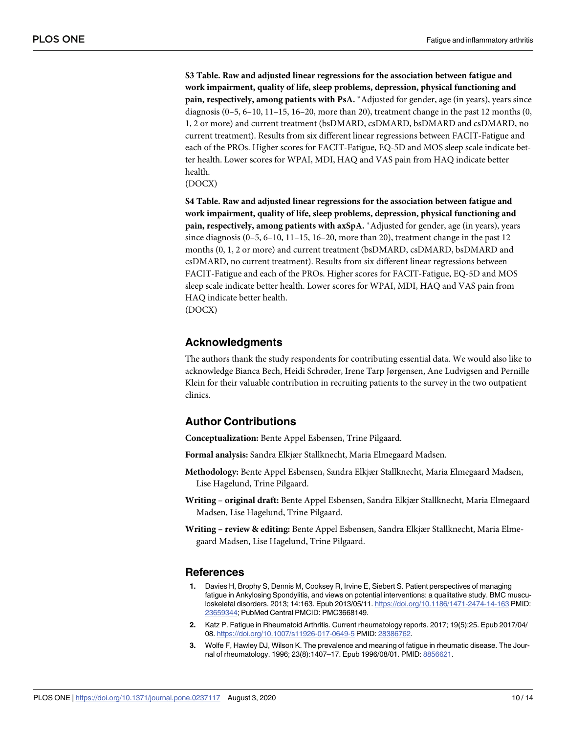<span id="page-9-0"></span>**S3 [Table.](http://www.plosone.org/article/fetchSingleRepresentation.action?uri=info:doi/10.1371/journal.pone.0237117.s004) Raw and adjusted linear regressions for the association between fatigue and work impairment, quality of life, sleep problems, depression, physical functioning and pain, respectively, among patients with PsA.**  $*$ Adjusted for gender, age (in years), years since diagnosis  $(0-5, 6-10, 11-15, 16-20,$  more than 20), treatment change in the past 12 months  $(0,$ 1, 2 or more) and current treatment (bsDMARD, csDMARD, bsDMARD and csDMARD, no current treatment). Results from six different linear regressions between FACIT-Fatigue and each of the PROs. Higher scores for FACIT-Fatigue, EQ-5D and MOS sleep scale indicate better health. Lower scores for WPAI, MDI, HAQ and VAS pain from HAQ indicate better health.

(DOCX)

**S4 [Table.](http://www.plosone.org/article/fetchSingleRepresentation.action?uri=info:doi/10.1371/journal.pone.0237117.s005) Raw and adjusted linear regressions for the association between fatigue and work impairment, quality of life, sleep problems, depression, physical functioning and pain, respectively, among patients with axSpA.** �Adjusted for gender, age (in years), years since diagnosis  $(0-5, 6-10, 11-15, 16-20, \text{more than 20})$ , treatment change in the past 12 months (0, 1, 2 or more) and current treatment (bsDMARD, csDMARD, bsDMARD and csDMARD, no current treatment). Results from six different linear regressions between FACIT-Fatigue and each of the PROs. Higher scores for FACIT-Fatigue, EQ-5D and MOS sleep scale indicate better health. Lower scores for WPAI, MDI, HAQ and VAS pain from HAQ indicate better health.

(DOCX)

#### **Acknowledgments**

The authors thank the study respondents for contributing essential data. We would also like to acknowledge Bianca Bech, Heidi Schrøder, Irene Tarp Jørgensen, Ane Ludvigsen and Pernille Klein for their valuable contribution in recruiting patients to the survey in the two outpatient clinics.

#### **Author Contributions**

**Conceptualization:** Bente Appel Esbensen, Trine Pilgaard.

**Formal analysis:** Sandra Elkjær Stallknecht, Maria Elmegaard Madsen.

- **Methodology:** Bente Appel Esbensen, Sandra Elkjær Stallknecht, Maria Elmegaard Madsen, Lise Hagelund, Trine Pilgaard.
- **Writing – original draft:** Bente Appel Esbensen, Sandra Elkjær Stallknecht, Maria Elmegaard Madsen, Lise Hagelund, Trine Pilgaard.
- **Writing – review & editing:** Bente Appel Esbensen, Sandra Elkjær Stallknecht, Maria Elmegaard Madsen, Lise Hagelund, Trine Pilgaard.

### **References**

- **[1](#page-1-0).** Davies H, Brophy S, Dennis M, Cooksey R, Irvine E, Siebert S. Patient perspectives of managing fatigue in Ankylosing Spondylitis, and views on potential interventions: a qualitative study. BMC musculoskeletal disorders. 2013; 14:163. Epub 2013/05/11. <https://doi.org/10.1186/1471-2474-14-163> PMID: [23659344](http://www.ncbi.nlm.nih.gov/pubmed/23659344); PubMed Central PMCID: PMC3668149.
- **[2](#page-1-0).** Katz P. Fatigue in Rheumatoid Arthritis. Current rheumatology reports. 2017; 19(5):25. Epub 2017/04/ 08. <https://doi.org/10.1007/s11926-017-0649-5> PMID: [28386762.](http://www.ncbi.nlm.nih.gov/pubmed/28386762)
- **[3](#page-1-0).** Wolfe F, Hawley DJ, Wilson K. The prevalence and meaning of fatigue in rheumatic disease. The Journal of rheumatology. 1996; 23(8):1407–17. Epub 1996/08/01. PMID: [8856621.](http://www.ncbi.nlm.nih.gov/pubmed/8856621)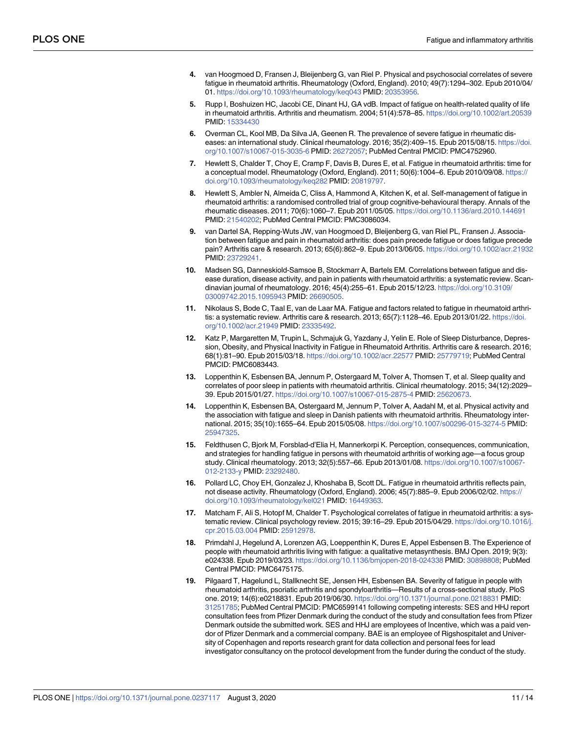- <span id="page-10-0"></span>**4.** van Hoogmoed D, Fransen J, Bleijenberg G, van Riel P. Physical and psychosocial correlates of severe fatigue in rheumatoid arthritis. Rheumatology (Oxford, England). 2010; 49(7):1294–302. Epub 2010/04/ 01. <https://doi.org/10.1093/rheumatology/keq043> PMID: [20353956.](http://www.ncbi.nlm.nih.gov/pubmed/20353956)
- **[5](#page-1-0).** Rupp I, Boshuizen HC, Jacobi CE, Dinant HJ, GA vdB. Impact of fatigue on health-related quality of life in rheumatoid arthritis. Arthritis and rheumatism. 2004; 51(4):578–85. <https://doi.org/10.1002/art.20539> PMID: [15334430](http://www.ncbi.nlm.nih.gov/pubmed/15334430)
- **[6](#page-1-0).** Overman CL, Kool MB, Da Silva JA, Geenen R. The prevalence of severe fatigue in rheumatic diseases: an international study. Clinical rheumatology. 2016; 35(2):409-15. Epub 2015/08/15. [https://doi.](https://doi.org/10.1007/s10067-015-3035-6) [org/10.1007/s10067-015-3035-6](https://doi.org/10.1007/s10067-015-3035-6) PMID: [26272057;](http://www.ncbi.nlm.nih.gov/pubmed/26272057) PubMed Central PMCID: PMC4752960.
- **[7](#page-1-0).** Hewlett S, Chalder T, Choy E, Cramp F, Davis B, Dures E, et al. Fatigue in rheumatoid arthritis: time for a conceptual model. Rheumatology (Oxford, England). 2011; 50(6):1004–6. Epub 2010/09/08. [https://](https://doi.org/10.1093/rheumatology/keq282) [doi.org/10.1093/rheumatology/keq282](https://doi.org/10.1093/rheumatology/keq282) PMID: [20819797](http://www.ncbi.nlm.nih.gov/pubmed/20819797).
- **[8](#page-1-0).** Hewlett S, Ambler N, Almeida C, Cliss A, Hammond A, Kitchen K, et al. Self-management of fatigue in rheumatoid arthritis: a randomised controlled trial of group cognitive-behavioural therapy. Annals of the rheumatic diseases. 2011; 70(6):1060–7. Epub 2011/05/05. <https://doi.org/10.1136/ard.2010.144691> PMID: [21540202](http://www.ncbi.nlm.nih.gov/pubmed/21540202); PubMed Central PMCID: PMC3086034.
- **[9](#page-1-0).** van Dartel SA, Repping-Wuts JW, van Hoogmoed D, Bleijenberg G, van Riel PL, Fransen J. Association between fatigue and pain in rheumatoid arthritis: does pain precede fatigue or does fatigue precede pain? Arthritis care & research. 2013; 65(6):862–9. Epub 2013/06/05. <https://doi.org/10.1002/acr.21932> PMID: [23729241](http://www.ncbi.nlm.nih.gov/pubmed/23729241).
- **[10](#page-6-0).** Madsen SG, Danneskiold-Samsoe B, Stockmarr A, Bartels EM. Correlations between fatigue and disease duration, disease activity, and pain in patients with rheumatoid arthritis: a systematic review. Scandinavian journal of rheumatology. 2016; 45(4):255–61. Epub 2015/12/23. [https://doi.org/10.3109/](https://doi.org/10.3109/03009742.2015.1095943) [03009742.2015.1095943](https://doi.org/10.3109/03009742.2015.1095943) PMID: [26690505](http://www.ncbi.nlm.nih.gov/pubmed/26690505).
- **11.** Nikolaus S, Bode C, Taal E, van de Laar MA. Fatigue and factors related to fatigue in rheumatoid arthritis: a systematic review. Arthritis care & research. 2013; 65(7):1128–46. Epub 2013/01/22. [https://doi.](https://doi.org/10.1002/acr.21949) [org/10.1002/acr.21949](https://doi.org/10.1002/acr.21949) PMID: [23335492.](http://www.ncbi.nlm.nih.gov/pubmed/23335492)
- **[12](#page-1-0).** Katz P, Margaretten M, Trupin L, Schmajuk G, Yazdany J, Yelin E. Role of Sleep Disturbance, Depression, Obesity, and Physical Inactivity in Fatigue in Rheumatoid Arthritis. Arthritis care & research. 2016; 68(1):81–90. Epub 2015/03/18. <https://doi.org/10.1002/acr.22577> PMID: [25779719](http://www.ncbi.nlm.nih.gov/pubmed/25779719); PubMed Central PMCID: PMC6083443.
- **[13](#page-1-0).** Loppenthin K, Esbensen BA, Jennum P, Ostergaard M, Tolver A, Thomsen T, et al. Sleep quality and correlates of poor sleep in patients with rheumatoid arthritis. Clinical rheumatology. 2015; 34(12):2029– 39. Epub 2015/01/27. <https://doi.org/10.1007/s10067-015-2875-4> PMID: [25620673](http://www.ncbi.nlm.nih.gov/pubmed/25620673).
- **[14](#page-1-0).** Loppenthin K, Esbensen BA, Ostergaard M, Jennum P, Tolver A, Aadahl M, et al. Physical activity and the association with fatigue and sleep in Danish patients with rheumatoid arthritis. Rheumatology international. 2015; 35(10):1655–64. Epub 2015/05/08. <https://doi.org/10.1007/s00296-015-3274-5> PMID: [25947325](http://www.ncbi.nlm.nih.gov/pubmed/25947325).
- **[15](#page-1-0).** Feldthusen C, Bjork M, Forsblad-d'Elia H, Mannerkorpi K. Perception, consequences, communication, and strategies for handling fatigue in persons with rheumatoid arthritis of working age—a focus group study. Clinical rheumatology. 2013; 32(5):557–66. Epub 2013/01/08. [https://doi.org/10.1007/s10067-](https://doi.org/10.1007/s10067-012-2133-y) [012-2133-y](https://doi.org/10.1007/s10067-012-2133-y) PMID: [23292480.](http://www.ncbi.nlm.nih.gov/pubmed/23292480)
- **[16](#page-1-0).** Pollard LC, Choy EH, Gonzalez J, Khoshaba B, Scott DL. Fatigue in rheumatoid arthritis reflects pain, not disease activity. Rheumatology (Oxford, England). 2006; 45(7):885–9. Epub 2006/02/02. [https://](https://doi.org/10.1093/rheumatology/kel021) [doi.org/10.1093/rheumatology/kel021](https://doi.org/10.1093/rheumatology/kel021) PMID: [16449363.](http://www.ncbi.nlm.nih.gov/pubmed/16449363)
- **[17](#page-1-0).** Matcham F, Ali S, Hotopf M, Chalder T. Psychological correlates of fatigue in rheumatoid arthritis: a systematic review. Clinical psychology review. 2015; 39:16–29. Epub 2015/04/29. [https://doi.org/10.1016/j.](https://doi.org/10.1016/j.cpr.2015.03.004) [cpr.2015.03.004](https://doi.org/10.1016/j.cpr.2015.03.004) PMID: [25912978.](http://www.ncbi.nlm.nih.gov/pubmed/25912978)
- **[18](#page-1-0).** Primdahl J, Hegelund A, Lorenzen AG, Loeppenthin K, Dures E, Appel Esbensen B. The Experience of people with rheumatoid arthritis living with fatigue: a qualitative metasynthesis. BMJ Open. 2019; 9(3): e024338. Epub 2019/03/23. <https://doi.org/10.1136/bmjopen-2018-024338> PMID: [30898808](http://www.ncbi.nlm.nih.gov/pubmed/30898808); PubMed Central PMCID: PMC6475175.
- **[19](#page-1-0).** Pilgaard T, Hagelund L, Stallknecht SE, Jensen HH, Esbensen BA. Severity of fatigue in people with rheumatoid arthritis, psoriatic arthritis and spondyloarthritis—Results of a cross-sectional study. PloS one. 2019; 14(6):e0218831. Epub 2019/06/30. <https://doi.org/10.1371/journal.pone.0218831> PMID: [31251785](http://www.ncbi.nlm.nih.gov/pubmed/31251785); PubMed Central PMCID: PMC6599141 following competing interests: SES and HHJ report consultation fees from Pfizer Denmark during the conduct of the study and consultation fees from Pfizer Denmark outside the submitted work. SES and HHJ are employees of Incentive, which was a paid vendor of Pfizer Denmark and a commercial company. BAE is an employee of Rigshospitalet and University of Copenhagen and reports research grant for data collection and personal fees for lead investigator consultancy on the protocol development from the funder during the conduct of the study.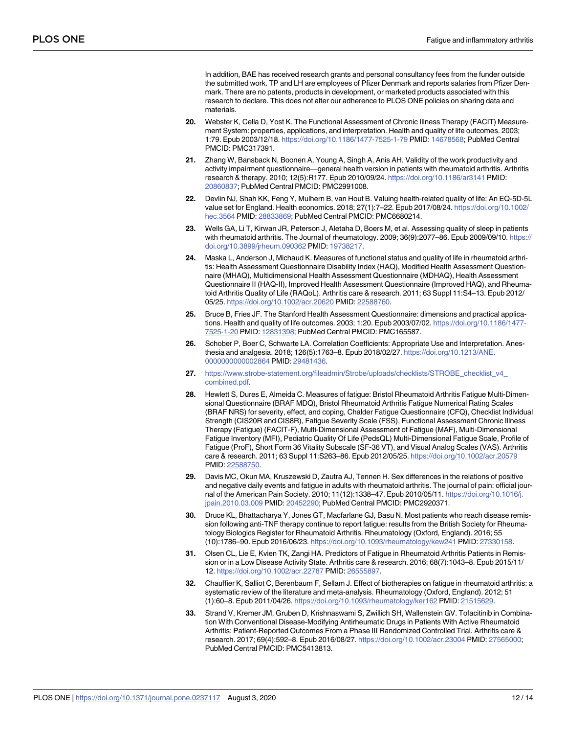<span id="page-11-0"></span>In addition, BAE has received research grants and personal consultancy fees from the funder outside the submitted work. TP and LH are employees of Pfizer Denmark and reports salaries from Pfizer Denmark. There are no patents, products in development, or marketed products associated with this research to declare. This does not alter our adherence to PLOS ONE policies on sharing data and materials.

- **[20](#page-2-0).** Webster K, Cella D, Yost K. The Functional Assessment of Chronic Illness Therapy (FACIT) Measurement System: properties, applications, and interpretation. Health and quality of life outcomes. 2003; 1:79. Epub 2003/12/18. <https://doi.org/10.1186/1477-7525-1-79> PMID: [14678568;](http://www.ncbi.nlm.nih.gov/pubmed/14678568) PubMed Central PMCID: PMC317391.
- **[21](#page-2-0).** Zhang W, Bansback N, Boonen A, Young A, Singh A, Anis AH. Validity of the work productivity and activity impairment questionnaire—general health version in patients with rheumatoid arthritis. Arthritis research & therapy. 2010; 12(5):R177. Epub 2010/09/24. <https://doi.org/10.1186/ar3141> PMID: [20860837](http://www.ncbi.nlm.nih.gov/pubmed/20860837); PubMed Central PMCID: PMC2991008.
- **[22](#page-2-0).** Devlin NJ, Shah KK, Feng Y, Mulhern B, van Hout B. Valuing health-related quality of life: An EQ-5D-5L value set for England. Health economics. 2018; 27(1):7–22. Epub 2017/08/24. [https://doi.org/10.1002/](https://doi.org/10.1002/hec.3564) [hec.3564](https://doi.org/10.1002/hec.3564) PMID: [28833869](http://www.ncbi.nlm.nih.gov/pubmed/28833869); PubMed Central PMCID: PMC6680214.
- **[23](#page-2-0).** Wells GA, Li T, Kirwan JR, Peterson J, Aletaha D, Boers M, et al. Assessing quality of sleep in patients with rheumatoid arthritis. The Journal of rheumatology. 2009; 36(9):2077–86. Epub 2009/09/10. [https://](https://doi.org/10.3899/jrheum.090362) [doi.org/10.3899/jrheum.090362](https://doi.org/10.3899/jrheum.090362) PMID: [19738217](http://www.ncbi.nlm.nih.gov/pubmed/19738217).
- **[24](#page-2-0).** Maska L, Anderson J, Michaud K. Measures of functional status and quality of life in rheumatoid arthritis: Health Assessment Questionnaire Disability Index (HAQ), Modified Health Assessment Questionnaire (MHAQ), Multidimensional Health Assessment Questionnaire (MDHAQ), Health Assessment Questionnaire II (HAQ-II), Improved Health Assessment Questionnaire (Improved HAQ), and Rheumatoid Arthritis Quality of Life (RAQoL). Arthritis care & research. 2011; 63 Suppl 11:S4-13. Epub 2012/ 05/25. <https://doi.org/10.1002/acr.20620> PMID: [22588760.](http://www.ncbi.nlm.nih.gov/pubmed/22588760)
- **[25](#page-2-0).** Bruce B, Fries JF. The Stanford Health Assessment Questionnaire: dimensions and practical applications. Health and quality of life outcomes. 2003; 1:20. Epub 2003/07/02. [https://doi.org/10.1186/1477-](https://doi.org/10.1186/1477-7525-1-20) [7525-1-20](https://doi.org/10.1186/1477-7525-1-20) PMID: [12831398;](http://www.ncbi.nlm.nih.gov/pubmed/12831398) PubMed Central PMCID: PMC165587.
- **[26](#page-2-0).** Schober P, Boer C, Schwarte LA. Correlation Coefficients: Appropriate Use and Interpretation. Anesthesia and analgesia. 2018; 126(5):1763–8. Epub 2018/02/27. [https://doi.org/10.1213/ANE.](https://doi.org/10.1213/ANE.0000000000002864) [0000000000002864](https://doi.org/10.1213/ANE.0000000000002864) PMID: [29481436.](http://www.ncbi.nlm.nih.gov/pubmed/29481436)
- [27](#page-3-0). [https://www.strobe-statement.org/fileadmin/Strobe/uploads/checklists/STROBE\\_checklist\\_v4\\_](https://www.strobe-statement.org/fileadmin/Strobe/uploads/checklists/STROBE_checklist_v4_combined.pdf) [combined.pdf.](https://www.strobe-statement.org/fileadmin/Strobe/uploads/checklists/STROBE_checklist_v4_combined.pdf)
- **[28](#page-6-0).** Hewlett S, Dures E, Almeida C. Measures of fatigue: Bristol Rheumatoid Arthritis Fatigue Multi-Dimensional Questionnaire (BRAF MDQ), Bristol Rheumatoid Arthritis Fatigue Numerical Rating Scales (BRAF NRS) for severity, effect, and coping, Chalder Fatigue Questionnaire (CFQ), Checklist Individual Strength (CIS20R and CIS8R), Fatigue Severity Scale (FSS), Functional Assessment Chronic Illness Therapy (Fatigue) (FACIT-F), Multi-Dimensional Assessment of Fatigue (MAF), Multi-Dimensional Fatigue Inventory (MFI), Pediatric Quality Of Life (PedsQL) Multi-Dimensional Fatigue Scale, Profile of Fatigue (ProF), Short Form 36 Vitality Subscale (SF-36 VT), and Visual Analog Scales (VAS). Arthritis care & research. 2011; 63 Suppl 11:S263–86. Epub 2012/05/25. <https://doi.org/10.1002/acr.20579> PMID: [22588750](http://www.ncbi.nlm.nih.gov/pubmed/22588750).
- **[29](#page-6-0).** Davis MC, Okun MA, Kruszewski D, Zautra AJ, Tennen H. Sex differences in the relations of positive and negative daily events and fatigue in adults with rheumatoid arthritis. The journal of pain: official journal of the American Pain Society. 2010; 11(12):1338–47. Epub 2010/05/11. [https://doi.org/10.1016/j.](https://doi.org/10.1016/j.jpain.2010.03.009) [jpain.2010.03.009](https://doi.org/10.1016/j.jpain.2010.03.009) PMID: [20452290](http://www.ncbi.nlm.nih.gov/pubmed/20452290); PubMed Central PMCID: PMC2920371.
- **[30](#page-6-0).** Druce KL, Bhattacharya Y, Jones GT, Macfarlane GJ, Basu N. Most patients who reach disease remission following anti-TNF therapy continue to report fatigue: results from the British Society for Rheumatology Biologics Register for Rheumatoid Arthritis. Rheumatology (Oxford, England). 2016; 55 (10):1786–90. Epub 2016/06/23. <https://doi.org/10.1093/rheumatology/kew241> PMID: [27330158](http://www.ncbi.nlm.nih.gov/pubmed/27330158).
- **[31](#page-6-0).** Olsen CL, Lie E, Kvien TK, Zangi HA. Predictors of Fatigue in Rheumatoid Arthritis Patients in Remission or in a Low Disease Activity State. Arthritis care & research. 2016; 68(7):1043–8. Epub 2015/11/ 12. <https://doi.org/10.1002/acr.22787> PMID: [26555897](http://www.ncbi.nlm.nih.gov/pubmed/26555897).
- **[32](#page-6-0).** Chauffier K, Salliot C, Berenbaum F, Sellam J. Effect of biotherapies on fatigue in rheumatoid arthritis: a systematic review of the literature and meta-analysis. Rheumatology (Oxford, England). 2012; 51 (1):60–8. Epub 2011/04/26. <https://doi.org/10.1093/rheumatology/ker162> PMID: [21515629.](http://www.ncbi.nlm.nih.gov/pubmed/21515629)
- **[33](#page-6-0).** Strand V, Kremer JM, Gruben D, Krishnaswami S, Zwillich SH, Wallenstein GV. Tofacitinib in Combination With Conventional Disease-Modifying Antirheumatic Drugs in Patients With Active Rheumatoid Arthritis: Patient-Reported Outcomes From a Phase III Randomized Controlled Trial. Arthritis care & research. 2017; 69(4):592–8. Epub 2016/08/27. <https://doi.org/10.1002/acr.23004> PMID: [27565000](http://www.ncbi.nlm.nih.gov/pubmed/27565000); PubMed Central PMCID: PMC5413813.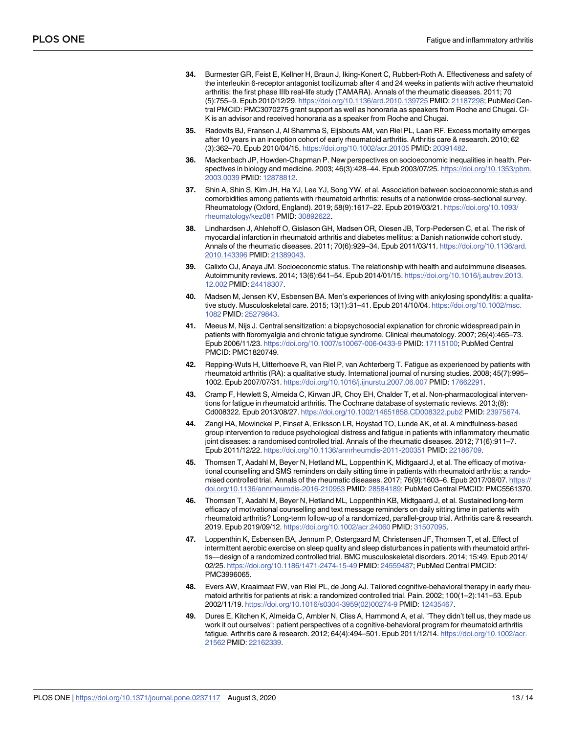- <span id="page-12-0"></span>**34.** Burmester GR, Feist E, Kellner H, Braun J, Iking-Konert C, Rubbert-Roth A. Effectiveness and safety of the interleukin 6-receptor antagonist tocilizumab after 4 and 24 weeks in patients with active rheumatoid arthritis: the first phase IIIb real-life study (TAMARA). Annals of the rheumatic diseases. 2011; 70 (5):755–9. Epub 2010/12/29. <https://doi.org/10.1136/ard.2010.139725> PMID: [21187298;](http://www.ncbi.nlm.nih.gov/pubmed/21187298) PubMed Central PMCID: PMC3070275 grant support as well as honoraria as speakers from Roche and Chugai. CI-K is an advisor and received honoraria as a speaker from Roche and Chugai.
- **[35](#page-6-0).** Radovits BJ, Fransen J, Al Shamma S, Eijsbouts AM, van Riel PL, Laan RF. Excess mortality emerges after 10 years in an inception cohort of early rheumatoid arthritis. Arthritis care & research. 2010; 62 (3):362–70. Epub 2010/04/15. <https://doi.org/10.1002/acr.20105> PMID: [20391482.](http://www.ncbi.nlm.nih.gov/pubmed/20391482)
- **[36](#page-7-0).** Mackenbach JP, Howden-Chapman P. New perspectives on socioeconomic inequalities in health. Perspectives in biology and medicine. 2003; 46(3):428–44. Epub 2003/07/25. [https://doi.org/10.1353/pbm.](https://doi.org/10.1353/pbm.2003.0039) [2003.0039](https://doi.org/10.1353/pbm.2003.0039) PMID: [12878812](http://www.ncbi.nlm.nih.gov/pubmed/12878812).
- **[37](#page-7-0).** Shin A, Shin S, Kim JH, Ha YJ, Lee YJ, Song YW, et al. Association between socioeconomic status and comorbidities among patients with rheumatoid arthritis: results of a nationwide cross-sectional survey. Rheumatology (Oxford, England). 2019; 58(9):1617–22. Epub 2019/03/21. [https://doi.org/10.1093/](https://doi.org/10.1093/rheumatology/kez081) [rheumatology/kez081](https://doi.org/10.1093/rheumatology/kez081) PMID: [30892622](http://www.ncbi.nlm.nih.gov/pubmed/30892622).
- **[38](#page-7-0).** Lindhardsen J, Ahlehoff O, Gislason GH, Madsen OR, Olesen JB, Torp-Pedersen C, et al. The risk of myocardial infarction in rheumatoid arthritis and diabetes mellitus: a Danish nationwide cohort study. Annals of the rheumatic diseases. 2011; 70(6):929–34. Epub 2011/03/11. [https://doi.org/10.1136/ard.](https://doi.org/10.1136/ard.2010.143396) [2010.143396](https://doi.org/10.1136/ard.2010.143396) PMID: [21389043.](http://www.ncbi.nlm.nih.gov/pubmed/21389043)
- **[39](#page-7-0).** Calixto OJ, Anaya JM. Socioeconomic status. The relationship with health and autoimmune diseases. Autoimmunity reviews. 2014; 13(6):641–54. Epub 2014/01/15. [https://doi.org/10.1016/j.autrev.2013.](https://doi.org/10.1016/j.autrev.2013.12.002) [12.002](https://doi.org/10.1016/j.autrev.2013.12.002) PMID: [24418307.](http://www.ncbi.nlm.nih.gov/pubmed/24418307)
- **[40](#page-7-0).** Madsen M, Jensen KV, Esbensen BA. Men's experiences of living with ankylosing spondylitis: a qualitative study. Musculoskeletal care. 2015; 13(1):31–41. Epub 2014/10/04. [https://doi.org/10.1002/msc.](https://doi.org/10.1002/msc.1082) [1082](https://doi.org/10.1002/msc.1082) PMID: [25279843](http://www.ncbi.nlm.nih.gov/pubmed/25279843).
- **[41](#page-7-0).** Meeus M, Nijs J. Central sensitization: a biopsychosocial explanation for chronic widespread pain in patients with fibromyalgia and chronic fatigue syndrome. Clinical rheumatology. 2007; 26(4):465–73. Epub 2006/11/23. <https://doi.org/10.1007/s10067-006-0433-9> PMID: [17115100](http://www.ncbi.nlm.nih.gov/pubmed/17115100); PubMed Central PMCID: PMC1820749.
- **[42](#page-7-0).** Repping-Wuts H, Uitterhoeve R, van Riel P, van Achterberg T. Fatigue as experienced by patients with rheumatoid arthritis (RA): a qualitative study. International journal of nursing studies. 2008; 45(7):995– 1002. Epub 2007/07/31. <https://doi.org/10.1016/j.ijnurstu.2007.06.007> PMID: [17662291](http://www.ncbi.nlm.nih.gov/pubmed/17662291).
- **[43](#page-7-0).** Cramp F, Hewlett S, Almeida C, Kirwan JR, Choy EH, Chalder T, et al. Non-pharmacological interventions for fatigue in rheumatoid arthritis. The Cochrane database of systematic reviews. 2013;(8): Cd008322. Epub 2013/08/27. <https://doi.org/10.1002/14651858.CD008322.pub2> PMID: [23975674](http://www.ncbi.nlm.nih.gov/pubmed/23975674).
- **[44](#page-7-0).** Zangi HA, Mowinckel P, Finset A, Eriksson LR, Hoystad TO, Lunde AK, et al. A mindfulness-based group intervention to reduce psychological distress and fatigue in patients with inflammatory rheumatic joint diseases: a randomised controlled trial. Annals of the rheumatic diseases. 2012; 71(6):911–7. Epub 2011/12/22. <https://doi.org/10.1136/annrheumdis-2011-200351> PMID: [22186709](http://www.ncbi.nlm.nih.gov/pubmed/22186709).
- **[45](#page-7-0).** Thomsen T, Aadahl M, Beyer N, Hetland ML, Loppenthin K, Midtgaard J, et al. The efficacy of motivational counselling and SMS reminders on daily sitting time in patients with rheumatoid arthritis: a randomised controlled trial. Annals of the rheumatic diseases. 2017; 76(9):1603–6. Epub 2017/06/07. [https://](https://doi.org/10.1136/annrheumdis-2016-210953) [doi.org/10.1136/annrheumdis-2016-210953](https://doi.org/10.1136/annrheumdis-2016-210953) PMID: [28584189](http://www.ncbi.nlm.nih.gov/pubmed/28584189); PubMed Central PMCID: PMC5561370.
- **46.** Thomsen T, Aadahl M, Beyer N, Hetland ML, Loppenthin KB, Midtgaard J, et al. Sustained long-term efficacy of motivational counselling and text message reminders on daily sitting time in patients with rheumatoid arthritis? Long-term follow-up of a randomized, parallel-group trial. Arthritis care & research. 2019. Epub 2019/09/12. <https://doi.org/10.1002/acr.24060> PMID: [31507095](http://www.ncbi.nlm.nih.gov/pubmed/31507095).
- **[47](#page-7-0).** Loppenthin K, Esbensen BA, Jennum P, Ostergaard M, Christensen JF, Thomsen T, et al. Effect of intermittent aerobic exercise on sleep quality and sleep disturbances in patients with rheumatoid arthritis—design of a randomized controlled trial. BMC musculoskeletal disorders. 2014; 15:49. Epub 2014/ 02/25. <https://doi.org/10.1186/1471-2474-15-49> PMID: [24559487](http://www.ncbi.nlm.nih.gov/pubmed/24559487); PubMed Central PMCID: PMC3996065.
- **[48](#page-7-0).** Evers AW, Kraaimaat FW, van Riel PL, de Jong AJ. Tailored cognitive-behavioral therapy in early rheumatoid arthritis for patients at risk: a randomized controlled trial. Pain. 2002; 100(1–2):141–53. Epub 2002/11/19. [https://doi.org/10.1016/s0304-3959\(02\)00274-9](https://doi.org/10.1016/s0304-3959%2802%2900274-9) PMID: [12435467.](http://www.ncbi.nlm.nih.gov/pubmed/12435467)
- **[49](#page-7-0).** Dures E, Kitchen K, Almeida C, Ambler N, Cliss A, Hammond A, et al. "They didn't tell us, they made us work it out ourselves": patient perspectives of a cognitive-behavioral program for rheumatoid arthritis fatigue. Arthritis care & research. 2012; 64(4):494–501. Epub 2011/12/14. [https://doi.org/10.1002/acr.](https://doi.org/10.1002/acr.21562) [21562](https://doi.org/10.1002/acr.21562) PMID: [22162339.](http://www.ncbi.nlm.nih.gov/pubmed/22162339)